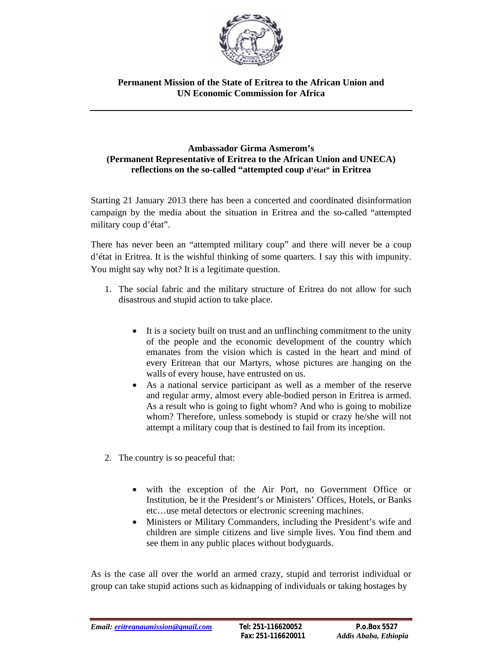

## **Permanent Mission of the State of Eritrea to the African Union and UN Economic Commission for Africa**

## **Ambassador Girma Asmerom's (Permanent Representative of Eritrea to the African Union and UNECA) reflections on the so-called "attempted coup d'état" in Eritrea**

Starting 21 January 2013 there has been a concerted and coordinated disinformation campaign by the media about the situation in Eritrea and the so-called "attempted military coup d'état".

There has never been an "attempted military coup" and there will never be a coup d'état in Eritrea. It is the wishful thinking of some quarters. I say this with impunity. You might say why not? It is a legitimate question.

- 1. The social fabric and the military structure of Eritrea do not allow for such disastrous and stupid action to take place.
	- It is a society built on trust and an unflinching commitment to the unity of the people and the economic development of the country which emanates from the vision which is casted in the heart and mind of every Eritrean that our Martyrs, whose pictures are hanging on the walls of every house, have entrusted on us.
	- As a national service participant as well as a member of the reserve and regular army, almost every able-bodied person in Eritrea is armed. As a result who is going to fight whom? And who is going to mobilize whom? Therefore, unless somebody is stupid or crazy he/she will not attempt a military coup that is destined to fail from its inception.
- 2. The country is so peaceful that:
	- with the exception of the Air Port, no Government Office or Institution, be it the President's or Ministers' Offices, Hotels, or Banks etc…use metal detectors or electronic screening machines.
	- Ministers or Military Commanders, including the President's wife and children are simple citizens and live simple lives. You find them and see them in any public places without bodyguards.

As is the case all over the world an armed crazy, stupid and terrorist individual or group can take stupid actions such as kidnapping of individuals or taking hostages by